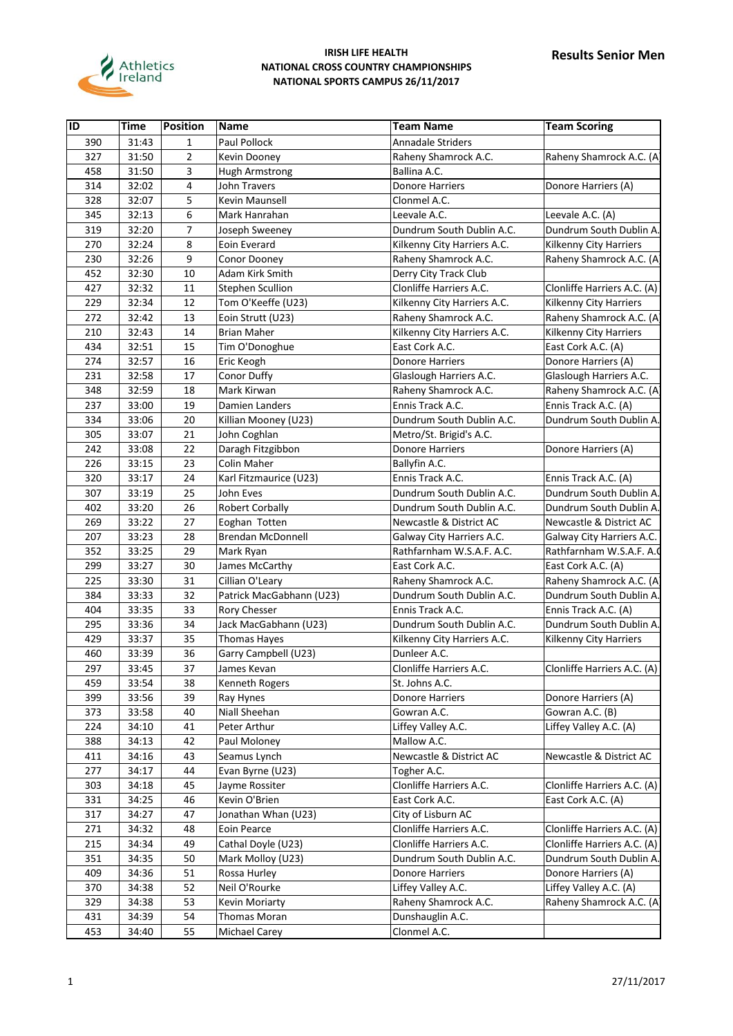

| $\overline{1}$ | <b>Time</b> | <b>Position</b> | <b>Name</b>              | <b>Team Name</b>            | <b>Team Scoring</b>         |
|----------------|-------------|-----------------|--------------------------|-----------------------------|-----------------------------|
| 390            | 31:43       | $\mathbf{1}$    | Paul Pollock             | <b>Annadale Striders</b>    |                             |
| 327            | 31:50       | $\overline{2}$  | Kevin Dooney             | Raheny Shamrock A.C.        | Raheny Shamrock A.C. (A)    |
| 458            | 31:50       | 3               | Hugh Armstrong           | Ballina A.C.                |                             |
| 314            | 32:02       | 4               | John Travers             | Donore Harriers             | Donore Harriers (A)         |
| 328            | 32:07       | 5               | Kevin Maunsell           | Clonmel A.C.                |                             |
| 345            | 32:13       | 6               | Mark Hanrahan            | Leevale A.C.                | Leevale A.C. (A)            |
| 319            | 32:20       | 7               | Joseph Sweeney           | Dundrum South Dublin A.C.   | Dundrum South Dublin A.     |
| 270            | 32:24       | 8               | Eoin Everard             | Kilkenny City Harriers A.C. | Kilkenny City Harriers      |
| 230            | 32:26       | 9               | Conor Dooney             | Raheny Shamrock A.C.        | Raheny Shamrock A.C. (A     |
| 452            | 32:30       | 10              | Adam Kirk Smith          | Derry City Track Club       |                             |
| 427            | 32:32       | 11              | Stephen Scullion         | Clonliffe Harriers A.C.     | Clonliffe Harriers A.C. (A) |
| 229            | 32:34       | 12              | Tom O'Keeffe (U23)       | Kilkenny City Harriers A.C. | Kilkenny City Harriers      |
| 272            | 32:42       | 13              | Eoin Strutt (U23)        | Raheny Shamrock A.C.        | Raheny Shamrock A.C. (A     |
| 210            | 32:43       | 14              | <b>Brian Maher</b>       | Kilkenny City Harriers A.C. | Kilkenny City Harriers      |
| 434            | 32:51       | 15              | Tim O'Donoghue           | East Cork A.C.              | East Cork A.C. (A)          |
| 274            | 32:57       | 16              | Eric Keogh               | <b>Donore Harriers</b>      | Donore Harriers (A)         |
| 231            | 32:58       | 17              | Conor Duffy              | Glaslough Harriers A.C.     | Glaslough Harriers A.C.     |
| 348            | 32:59       | 18              | Mark Kirwan              | Raheny Shamrock A.C.        | Raheny Shamrock A.C. (A     |
| 237            | 33:00       | 19              | Damien Landers           | Ennis Track A.C.            | Ennis Track A.C. (A)        |
| 334            | 33:06       | 20              | Killian Mooney (U23)     | Dundrum South Dublin A.C.   | Dundrum South Dublin A.     |
| 305            | 33:07       | 21              | John Coghlan             | Metro/St. Brigid's A.C.     |                             |
| 242            | 33:08       | 22              | Daragh Fitzgibbon        | <b>Donore Harriers</b>      | Donore Harriers (A)         |
| 226            | 33:15       | 23              | Colin Maher              | Ballyfin A.C.               |                             |
| 320            | 33:17       | 24              | Karl Fitzmaurice (U23)   | Ennis Track A.C.            | Ennis Track A.C. (A)        |
| 307            | 33:19       | 25              | John Eves                | Dundrum South Dublin A.C.   | Dundrum South Dublin A.     |
| 402            | 33:20       | 26              | <b>Robert Corbally</b>   | Dundrum South Dublin A.C.   | Dundrum South Dublin A.     |
| 269            | 33:22       | 27              | Eoghan Totten            | Newcastle & District AC     | Newcastle & District AC     |
| 207            | 33:23       | 28              | <b>Brendan McDonnell</b> | Galway City Harriers A.C.   | Galway City Harriers A.C.   |
| 352            | 33:25       | 29              | Mark Ryan                | Rathfarnham W.S.A.F. A.C.   | Rathfarnham W.S.A.F. A.     |
| 299            | 33:27       | 30              | James McCarthy           | East Cork A.C.              | East Cork A.C. (A)          |
| 225            | 33:30       | 31              | Cillian O'Leary          | Raheny Shamrock A.C.        | Raheny Shamrock A.C. (A     |
| 384            | 33:33       | 32              | Patrick MacGabhann (U23) | Dundrum South Dublin A.C.   | Dundrum South Dublin A.     |
| 404            | 33:35       | 33              | Rory Chesser             | Ennis Track A.C.            | Ennis Track A.C. (A)        |
| 295            | 33:36       | 34              | Jack MacGabhann (U23)    | Dundrum South Dublin A.C.   | Dundrum South Dublin A.     |
| 429            | 33:37       | 35              | Thomas Hayes             | Kilkenny City Harriers A.C. | Kilkenny City Harriers      |
| 460            | 33:39       | 36              | Garry Campbell (U23)     | Dunleer A.C.                |                             |
| 297            | 33:45       | 37              | James Kevan              | Clonliffe Harriers A.C.     | Clonliffe Harriers A.C. (A) |
| 459            | 33:54       | 38              | Kenneth Rogers           | St. Johns A.C.              |                             |
| 399            | 33:56       | 39              | Ray Hynes                | Donore Harriers             | Donore Harriers (A)         |
| 373            | 33:58       | 40              | Niall Sheehan            | Gowran A.C.                 | Gowran A.C. (B)             |
| 224            | 34:10       | 41              | Peter Arthur             | Liffey Valley A.C.          | Liffey Valley A.C. (A)      |
| 388            | 34:13       | 42              | Paul Moloney             | Mallow A.C.                 |                             |
| 411            | 34:16       | 43              | Seamus Lynch             | Newcastle & District AC     | Newcastle & District AC     |
| 277            | 34:17       | 44              | Evan Byrne (U23)         | Togher A.C.                 |                             |
| 303            | 34:18       | 45              | Jayme Rossiter           | Clonliffe Harriers A.C.     | Clonliffe Harriers A.C. (A) |
| 331            | 34:25       | 46              | Kevin O'Brien            | East Cork A.C.              | East Cork A.C. (A)          |
| 317            | 34:27       | 47              | Jonathan Whan (U23)      | City of Lisburn AC          |                             |
| 271            | 34:32       | 48              | Eoin Pearce              | Clonliffe Harriers A.C.     | Clonliffe Harriers A.C. (A) |
| 215            | 34:34       | 49              | Cathal Doyle (U23)       | Clonliffe Harriers A.C.     | Clonliffe Harriers A.C. (A) |
| 351            | 34:35       | 50              | Mark Molloy (U23)        | Dundrum South Dublin A.C.   | Dundrum South Dublin A.     |
| 409            | 34:36       | 51              | Rossa Hurley             | Donore Harriers             | Donore Harriers (A)         |
| 370            | 34:38       | 52              | Neil O'Rourke            | Liffey Valley A.C.          | Liffey Valley A.C. (A)      |
| 329            | 34:38       | 53              | Kevin Moriarty           | Raheny Shamrock A.C.        | Raheny Shamrock A.C. (A     |
| 431            |             | 54              | Thomas Moran             | Dunshauglin A.C.            |                             |
|                | 34:39       |                 |                          |                             |                             |
| 453            | 34:40       | 55              | Michael Carey            | Clonmel A.C.                |                             |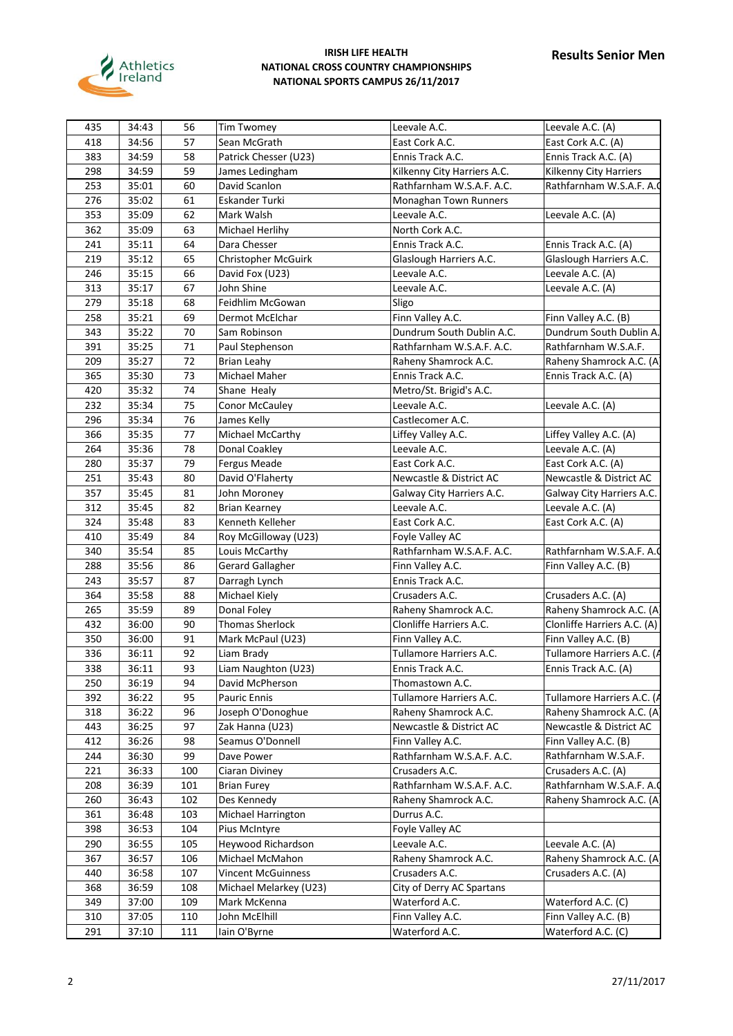

| 435 | 34:43 |     |                           |                             |                             |
|-----|-------|-----|---------------------------|-----------------------------|-----------------------------|
|     |       | 56  | Tim Twomey                | Leevale A.C.                | Leevale A.C. (A)            |
| 418 | 34:56 | 57  | Sean McGrath              | East Cork A.C.              | East Cork A.C. (A)          |
| 383 | 34:59 | 58  | Patrick Chesser (U23)     | Ennis Track A.C.            | Ennis Track A.C. (A)        |
| 298 | 34:59 | 59  | James Ledingham           | Kilkenny City Harriers A.C. | Kilkenny City Harriers      |
| 253 | 35:01 | 60  | David Scanlon             | Rathfarnham W.S.A.F. A.C.   | Rathfarnham W.S.A.F. A.     |
| 276 | 35:02 | 61  | Eskander Turki            | Monaghan Town Runners       |                             |
| 353 | 35:09 | 62  | Mark Walsh                | Leevale A.C.                | Leevale A.C. (A)            |
| 362 | 35:09 | 63  | Michael Herlihy           | North Cork A.C.             |                             |
| 241 | 35:11 | 64  | Dara Chesser              | Ennis Track A.C.            | Ennis Track A.C. (A)        |
| 219 | 35:12 | 65  | Christopher McGuirk       | Glaslough Harriers A.C.     | Glaslough Harriers A.C.     |
| 246 | 35:15 | 66  | David Fox (U23)           | Leevale A.C.                | Leevale A.C. (A)            |
| 313 | 35:17 | 67  | John Shine                | Leevale A.C.                | Leevale A.C. (A)            |
| 279 | 35:18 | 68  | Feidhlim McGowan          | Sligo                       |                             |
| 258 | 35:21 | 69  | Dermot McElchar           | Finn Valley A.C.            | Finn Valley A.C. (B)        |
| 343 | 35:22 | 70  | Sam Robinson              | Dundrum South Dublin A.C.   | Dundrum South Dublin A.     |
| 391 | 35:25 | 71  | Paul Stephenson           | Rathfarnham W.S.A.F. A.C.   | Rathfarnham W.S.A.F.        |
| 209 | 35:27 | 72  | <b>Brian Leahy</b>        | Raheny Shamrock A.C.        | Raheny Shamrock A.C. (A     |
| 365 | 35:30 | 73  | Michael Maher             | Ennis Track A.C.            | Ennis Track A.C. (A)        |
| 420 | 35:32 | 74  | Shane Healy               | Metro/St. Brigid's A.C.     |                             |
| 232 | 35:34 | 75  | <b>Conor McCauley</b>     | Leevale A.C.                | Leevale A.C. (A)            |
| 296 | 35:34 | 76  | James Kelly               | Castlecomer A.C.            |                             |
| 366 | 35:35 | 77  | Michael McCarthy          | Liffey Valley A.C.          | Liffey Valley A.C. (A)      |
| 264 | 35:36 | 78  | Donal Coakley             | Leevale A.C.                | Leevale A.C. (A)            |
| 280 | 35:37 | 79  | Fergus Meade              | East Cork A.C.              | East Cork A.C. (A)          |
| 251 |       | 80  |                           |                             |                             |
|     | 35:43 |     | David O'Flaherty          | Newcastle & District AC     | Newcastle & District AC     |
| 357 | 35:45 | 81  | John Moroney              | Galway City Harriers A.C.   | Galway City Harriers A.C.   |
| 312 | 35:45 | 82  | <b>Brian Kearney</b>      | Leevale A.C.                | Leevale A.C. (A)            |
| 324 | 35:48 | 83  | Kenneth Kelleher          | East Cork A.C.              | East Cork A.C. (A)          |
| 410 | 35:49 | 84  | Roy McGilloway (U23)      | Foyle Valley AC             |                             |
| 340 | 35:54 | 85  | Louis McCarthy            | Rathfarnham W.S.A.F. A.C.   | Rathfarnham W.S.A.F. A.     |
| 288 | 35:56 | 86  | <b>Gerard Gallagher</b>   | Finn Valley A.C.            | Finn Valley A.C. (B)        |
| 243 | 35:57 | 87  | Darragh Lynch             | Ennis Track A.C.            |                             |
| 364 | 35:58 | 88  | Michael Kiely             | Crusaders A.C.              | Crusaders A.C. (A)          |
| 265 | 35:59 | 89  | Donal Foley               | Raheny Shamrock A.C.        | Raheny Shamrock A.C. (A     |
| 432 | 36:00 | 90  | <b>Thomas Sherlock</b>    | Clonliffe Harriers A.C.     | Clonliffe Harriers A.C. (A) |
| 350 | 36:00 | 91  | Mark McPaul (U23)         | Finn Valley A.C.            | Finn Valley A.C. (B)        |
| 336 | 36:11 | 92  | Liam Brady                | Tullamore Harriers A.C.     | Tullamore Harriers A.C. (A  |
| 338 | 36:11 | 93  | Liam Naughton (U23)       | Ennis Track A.C.            | Ennis Track A.C. (A)        |
| 250 | 36:19 | 94  | David McPherson           | Thomastown A.C.             |                             |
| 392 | 36:22 | 95  | Pauric Ennis              | Tullamore Harriers A.C.     | Tullamore Harriers A.C. (A  |
| 318 | 36:22 | 96  | Joseph O'Donoghue         | Raheny Shamrock A.C.        | Raheny Shamrock A.C. (A     |
| 443 | 36:25 | 97  | Zak Hanna (U23)           | Newcastle & District AC     | Newcastle & District AC     |
| 412 | 36:26 | 98  | Seamus O'Donnell          | Finn Valley A.C.            | Finn Valley A.C. (B)        |
| 244 | 36:30 | 99  | Dave Power                | Rathfarnham W.S.A.F. A.C.   | Rathfarnham W.S.A.F.        |
| 221 | 36:33 | 100 | Ciaran Diviney            | Crusaders A.C.              | Crusaders A.C. (A)          |
| 208 | 36:39 | 101 | <b>Brian Furey</b>        | Rathfarnham W.S.A.F. A.C.   | Rathfarnham W.S.A.F. A.     |
| 260 | 36:43 | 102 | Des Kennedy               | Raheny Shamrock A.C.        | Raheny Shamrock A.C. (A     |
| 361 | 36:48 | 103 | Michael Harrington        | Durrus A.C.                 |                             |
|     |       |     |                           | Foyle Valley AC             |                             |
| 398 | 36:53 | 104 | Pius McIntyre             |                             |                             |
| 290 | 36:55 | 105 | Heywood Richardson        | Leevale A.C.                | Leevale A.C. (A)            |
| 367 | 36:57 | 106 | Michael McMahon           | Raheny Shamrock A.C.        | Raheny Shamrock A.C. (A     |
| 440 | 36:58 | 107 | <b>Vincent McGuinness</b> | Crusaders A.C.              | Crusaders A.C. (A)          |
| 368 | 36:59 | 108 | Michael Melarkey (U23)    | City of Derry AC Spartans   |                             |
| 349 | 37:00 | 109 | Mark McKenna              | Waterford A.C.              | Waterford A.C. (C)          |
| 310 | 37:05 | 110 | John McElhill             | Finn Valley A.C.            | Finn Valley A.C. (B)        |
| 291 | 37:10 | 111 | lain O'Byrne              | Waterford A.C.              | Waterford A.C. (C)          |
|     |       |     |                           |                             |                             |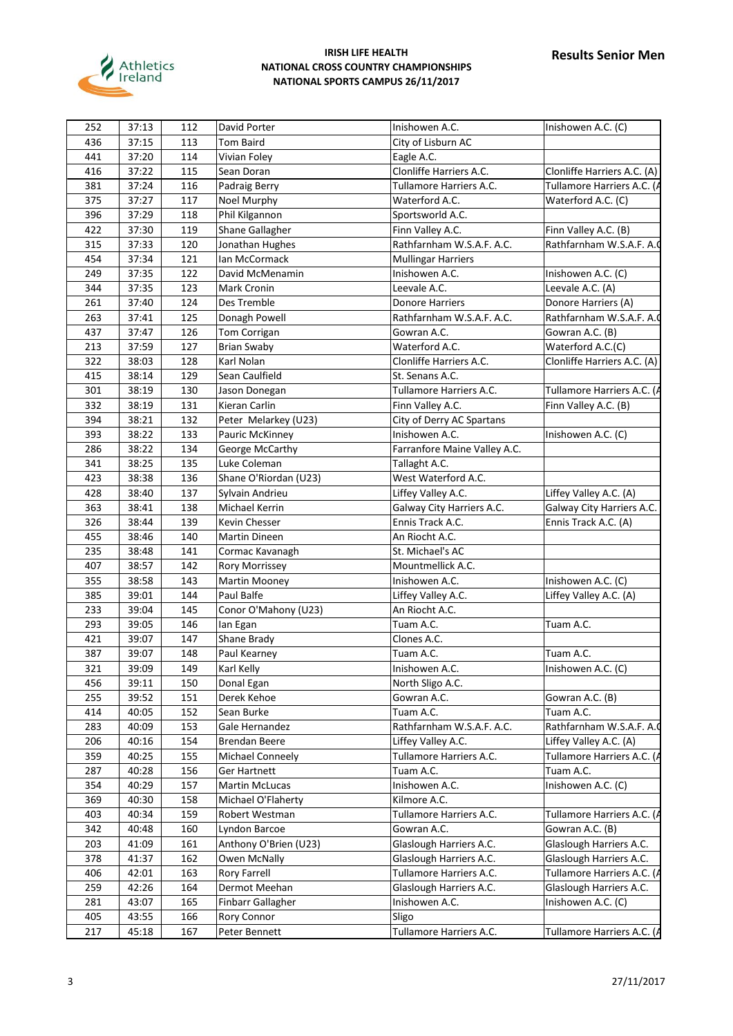

| 252 | 37:13          | 112        | David Porter             | Inishowen A.C.                              | Inishowen A.C. (C)          |
|-----|----------------|------------|--------------------------|---------------------------------------------|-----------------------------|
| 436 | 37:15          | 113        | <b>Tom Baird</b>         | City of Lisburn AC                          |                             |
| 441 | 37:20          | 114        | Vivian Foley             | Eagle A.C.                                  |                             |
| 416 | 37:22          | 115        | Sean Doran               | Clonliffe Harriers A.C.                     | Clonliffe Harriers A.C. (A) |
| 381 | 37:24          | 116        | Padraig Berry            | Tullamore Harriers A.C.                     | Tullamore Harriers A.C. (   |
| 375 | 37:27          | 117        | Noel Murphy              | Waterford A.C.                              | Waterford A.C. (C)          |
| 396 | 37:29          | 118        | Phil Kilgannon           | Sportsworld A.C.                            |                             |
| 422 | 37:30          | 119        | Shane Gallagher          | Finn Valley A.C.                            | Finn Valley A.C. (B)        |
| 315 | 37:33          | 120        | Jonathan Hughes          | Rathfarnham W.S.A.F. A.C.                   | Rathfarnham W.S.A.F. A.     |
| 454 | 37:34          | 121        | Ian McCormack            | <b>Mullingar Harriers</b>                   |                             |
| 249 | 37:35          | 122        | David McMenamin          | Inishowen A.C.                              | Inishowen A.C. (C)          |
| 344 | 37:35          | 123        | Mark Cronin              | Leevale A.C.                                | Leevale A.C. (A)            |
| 261 | 37:40          | 124        | Des Tremble              | <b>Donore Harriers</b>                      | Donore Harriers (A)         |
| 263 | 37:41          | 125        | Donagh Powell            | Rathfarnham W.S.A.F. A.C.                   | Rathfarnham W.S.A.F. A.     |
| 437 | 37:47          | 126        | Tom Corrigan             | Gowran A.C.                                 | Gowran A.C. (B)             |
| 213 | 37:59          | 127        | <b>Brian Swaby</b>       | Waterford A.C.                              | Waterford A.C.(C)           |
| 322 | 38:03          | 128        | Karl Nolan               | Clonliffe Harriers A.C.                     | Clonliffe Harriers A.C. (A) |
| 415 | 38:14          | 129        | Sean Caulfield           | St. Senans A.C.                             |                             |
| 301 | 38:19          | 130        |                          | Tullamore Harriers A.C.                     | Tullamore Harriers A.C. (   |
| 332 |                |            | Jason Donegan            | Finn Valley A.C.                            |                             |
| 394 | 38:19<br>38:21 | 131<br>132 | Kieran Carlin            |                                             | Finn Valley A.C. (B)        |
| 393 | 38:22          |            | Peter Melarkey (U23)     | City of Derry AC Spartans<br>Inishowen A.C. | Inishowen A.C. (C)          |
|     |                | 133        | Pauric McKinney          |                                             |                             |
| 286 | 38:22          | 134        | George McCarthy          | Farranfore Maine Valley A.C.                |                             |
| 341 | 38:25          | 135        | Luke Coleman             | Tallaght A.C.                               |                             |
| 423 | 38:38          | 136        | Shane O'Riordan (U23)    | West Waterford A.C.                         |                             |
| 428 | 38:40          | 137        | Sylvain Andrieu          | Liffey Valley A.C.                          | Liffey Valley A.C. (A)      |
| 363 | 38:41          | 138        | Michael Kerrin           | Galway City Harriers A.C.                   | Galway City Harriers A.C.   |
| 326 | 38:44          | 139        | Kevin Chesser            | Ennis Track A.C.                            | Ennis Track A.C. (A)        |
| 455 | 38:46          | 140        | <b>Martin Dineen</b>     | An Riocht A.C.                              |                             |
| 235 | 38:48          | 141        | Cormac Kavanagh          | St. Michael's AC                            |                             |
| 407 | 38:57          | 142        | <b>Rory Morrissey</b>    | Mountmellick A.C.                           |                             |
| 355 | 38:58          | 143        | Martin Mooney            | Inishowen A.C.                              | Inishowen A.C. (C)          |
| 385 | 39:01          | 144        | Paul Balfe               | Liffey Valley A.C.                          | Liffey Valley A.C. (A)      |
| 233 | 39:04          | 145        | Conor O'Mahony (U23)     | An Riocht A.C.                              |                             |
| 293 | 39:05          | 146        | lan Egan                 | Tuam A.C.                                   | Tuam A.C.                   |
| 421 | 39:07          | 147        | Shane Brady              | Clones A.C.                                 |                             |
| 387 | 39:07          | 148        | Paul Kearney             | Tuam A.C.                                   | Tuam A.C.                   |
| 321 | 39:09          | 149        | Karl Kelly               | Inishowen A.C.                              | Inishowen A.C. (C)          |
| 456 | 39:11          | 150        | Donal Egan               | North Sligo A.C.                            |                             |
| 255 | 39:52          | 151        | Derek Kehoe              | Gowran A.C.                                 | Gowran A.C. (B)             |
| 414 | 40:05          | 152        | Sean Burke               | Tuam A.C.                                   | Tuam A.C.                   |
| 283 | 40:09          | 153        | Gale Hernandez           | Rathfarnham W.S.A.F. A.C.                   | Rathfarnham W.S.A.F. A.     |
| 206 | 40:16          | 154        | <b>Brendan Beere</b>     | Liffey Valley A.C.                          | Liffey Valley A.C. (A)      |
| 359 | 40:25          | 155        | Michael Conneely         | Tullamore Harriers A.C.                     | Tullamore Harriers A.C. (   |
| 287 | 40:28          | 156        | <b>Ger Hartnett</b>      | Tuam A.C.                                   | Tuam A.C.                   |
| 354 | 40:29          | 157        | <b>Martin McLucas</b>    | Inishowen A.C.                              | Inishowen A.C. (C)          |
| 369 | 40:30          | 158        | Michael O'Flaherty       | Kilmore A.C.                                |                             |
| 403 | 40:34          | 159        | Robert Westman           | Tullamore Harriers A.C.                     | Tullamore Harriers A.C. (   |
| 342 | 40:48          | 160        | Lyndon Barcoe            | Gowran A.C.                                 | Gowran A.C. (B)             |
| 203 | 41:09          | 161        | Anthony O'Brien (U23)    | Glaslough Harriers A.C.                     | Glaslough Harriers A.C.     |
| 378 | 41:37          | 162        | Owen McNally             | Glaslough Harriers A.C.                     | Glaslough Harriers A.C.     |
| 406 | 42:01          | 163        | <b>Rory Farrell</b>      | Tullamore Harriers A.C.                     | Tullamore Harriers A.C. (   |
| 259 | 42:26          | 164        | Dermot Meehan            | Glaslough Harriers A.C.                     | Glaslough Harriers A.C.     |
| 281 | 43:07          | 165        | <b>Finbarr Gallagher</b> | Inishowen A.C.                              | Inishowen A.C. (C)          |
| 405 | 43:55          | 166        | Rory Connor              | Sligo                                       |                             |
| 217 | 45:18          | 167        | Peter Bennett            | Tullamore Harriers A.C.                     | Tullamore Harriers A.C. (   |